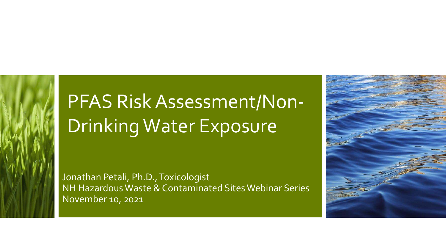# PFAS Risk Assessment/Non-Drinking Water Exposure

Jonathan Petali, Ph.D., Toxicologist NH Hazardous Waste & Contaminated Sites Webinar Series November 10, 2021

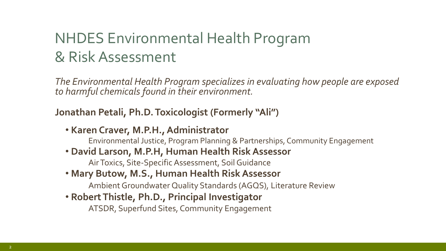### NHDES Environmental Health Program & Risk Assessment

*The Environmental Health Program specializes in evaluating how people are exposed to harmful chemicals found in their environment.* 

#### **Jonathan Petali, Ph.D. Toxicologist (Formerly "Ali")**

• **Karen Craver, M.P.H., Administrator**

Environmental Justice, Program Planning & Partnerships, Community Engagement

• **David Larson, M.P.H, Human Health Risk Assessor**

Air Toxics, Site-Specific Assessment, Soil Guidance

• **Mary Butow, M.S., Human Health Risk Assessor**

Ambient Groundwater Quality Standards (AGQS), Literature Review

• **Robert Thistle, Ph.D., Principal Investigator**

ATSDR, Superfund Sites, Community Engagement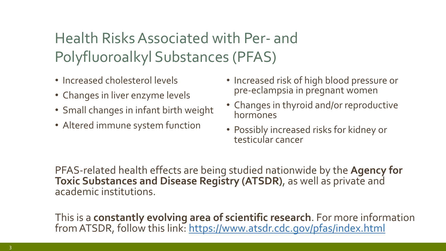## Health Risks Associated with Per- and Polyfluoroalkyl Substances (PFAS)

- Increased cholesterol levels
- Changes in liver enzyme levels
- Small changes in infant birth weight
- Altered immune system function
- Increased risk of high blood pressure or pre-eclampsia in pregnant women
- Changes in thyroid and/or reproductive hormones
- Possibly increased risks for kidney or testicular cancer

PFAS-related health effects are being studied nationwide by the **Agency for Toxic Substances and Disease Registry (ATSDR)**, as well as private and academic institutions.

This is a **constantly evolving area of scientific research**. For more information from ATSDR, follow this link:<https://www.atsdr.cdc.gov/pfas/index.html>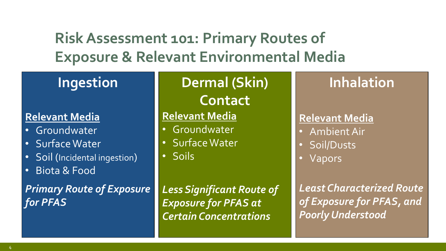**Risk Assessment 101: Primary Routes of Exposure & Relevant Environmental Media**

### **Ingestion**

#### **Relevant Media**

- Groundwater
- Surface Water
- Soil (Incidental ingestion)
- Biota & Food

*Primary Route of Exposure for PFAS*

### **Dermal (Skin)**

**Contact**

#### **Relevant Media**

- Groundwater
- Surface Water
- Soils

**Inhalation**

#### **Relevant Media**

- Ambient Air
- Soil/Dusts
- Vapors

*Least Characterized Route of Exposure for PFAS, and Poorly Understood*

*Less Significant Route of Exposure for PFAS at Certain Concentrations*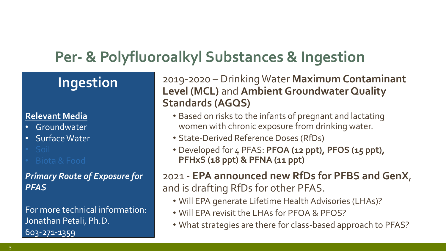### **Per- & Polyfluoroalkyl Substances & Ingestion**

### **Ingestion**

#### **Relevant Media**

- Groundwater
- Surface Water
- 

#### *Primary Route of Exposure for PFAS*

For more technical information: Jonathan Petali, Ph.D. 603-271-1359

2019-2020 – Drinking Water **Maximum Contaminant Level (MCL)** and **Ambient Groundwater Quality Standards (AGQS)**

- Based on risks to the infants of pregnant and lactating women with chronic exposure from drinking water.
- State-Derived Reference Doses (RfDs)
- Developed for 4 PFAS: **PFOA (12 ppt), PFOS (15 ppt), PFHxS (18 ppt) & PFNA (11 ppt)**

2021 - **EPA announced new RfDs for PFBS and GenX**, and is drafting RfDs for other PFAS.

- Will EPA generate Lifetime Health Advisories (LHAs)?
- Will EPA revisit the LHAs for PFOA & PFOS?
- What strategies are there for class-based approach to PFAS?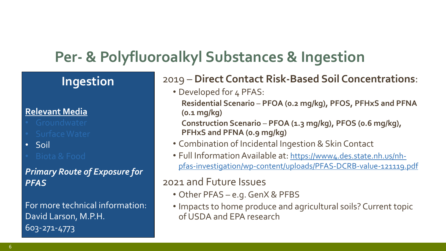### **Per- & Polyfluoroalkyl Substances & Ingestion**

### **Ingestion**

#### **Relevant Media**

- 
- 
- Soil
- 

#### *Primary Route of Exposure for PFAS*

For more technical information: David Larson, M.P.H. 603-271-4773

#### 2019 – **Direct Contact Risk-Based Soil Concentrations**:

• Developed for 4 PFAS:

**Residential Scenario** – **PFOA (0.2 mg/kg), PFOS, PFHxS and PFNA (0.1 mg/kg)**

**Construction Scenario** – **PFOA (1.3 mg/kg), PFOS (0.6 mg/kg), PFHxS and PFNA (0.9 mg/kg)**

- Combination of Incidental Ingestion & Skin Contact
- Full Information Available at: https://www4.des.state.nh.us/nh[pfas-investigation/wp-content/uploads/PFAS-DCRB-value-121119.pdf](https://www4.des.state.nh.us/nh-pfas-investigation/wp-content/uploads/PFAS-DCRB-value-121119.pdf)

#### 2021 and Future Issues

- Other PFAS e.g. GenX & PFBS
- Impacts to home produce and agricultural soils? Current topic of USDA and EPA research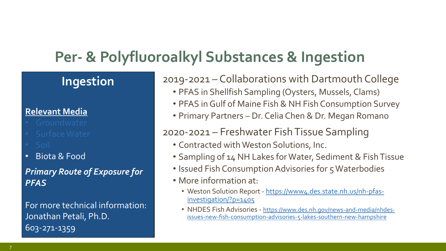### **Per- & Polyfluoroalkyl Substances & Ingestion**

#### **Ingestion**

#### **Relevant Media**

- 
- 
- 
- Biota & Food

#### *Primary Route of Exposure for PFAS*

For more technical information: Jonathan Petali, Ph.D. 603-271-1359

2019-2021 – Collaborations with Dartmouth College

- PFAS in Shellfish Sampling (Oysters, Mussels, Clams)
- PFAS in Gulf of Maine Fish & NH Fish Consumption Survey
- Primary Partners Dr. Celia Chen & Dr. Megan Romano

#### 2020-2021 – Freshwater Fish Tissue Sampling

- Contracted with Weston Solutions, Inc.
- Sampling of 14 NH Lakes for Water, Sediment & Fish Tissue
- Issued Fish Consumption Advisories for 5 Waterbodies
- More information at:
	- Weston Solution Report [https://www4.des.state.nh.us/nh-pfas](https://www4.des.state.nh.us/nh-pfas-investigation/?p=1405)investigation/?p=1405
	- NHDES Fish Advisories https://www.des.nh.gov/news-and-media/nhdes[issues-new-fish-consumption-advisories-5-lakes-southern-new-hampshire](https://www.des.nh.gov/news-and-media/nhdes-issues-new-fish-consumption-advisories-5-lakes-southern-new-hampshire)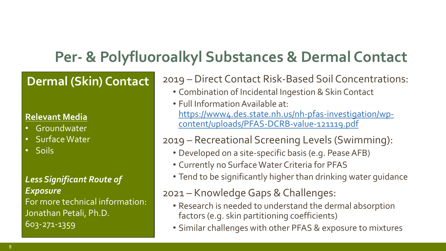### **Per- & Polyfluoroalkyl Substances & Dermal Contact**

#### **Ingestion Dermal (Skin) Contact**

#### **Relevant Media Relevant Media**

- **Example Formation** • Groundwater
- Surface Water • Surface Water
- Soil • Biota & Food • Soils

#### *Primary Route of Exposure for*  Less Significant Route of<br>– For more technical information: For more technical information: Jonathan Petali, Ph.D.<br>^ 603-271-4773 603-271-1359*Exposure*

2019 – Direct Contact Risk-Based Soil Concentrations:

- Combination of Incidental Ingestion & Skin Contact
- Full Information Available at: [https://www4.des.state.nh.us/nh-pfas-investigation/wp](https://www4.des.state.nh.us/nh-pfas-investigation/wp-content/uploads/PFAS-DCRB-value-121119.pdf)content/uploads/PFAS-DCRB-value-121119.pdf

#### 2019 – Recreational Screening Levels (Swimming):

- Developed on a site-specific basis (e.g. Pease AFB)
- Currently no Surface Water Criteria for PFAS
- Tend to be significantly higher than drinking water guidance

#### 2021 – Knowledge Gaps & Challenges:

- Research is needed to understand the dermal absorption factors (e.g. skin partitioning coefficients)
- Similar challenges with other PFAS & exposure to mixtures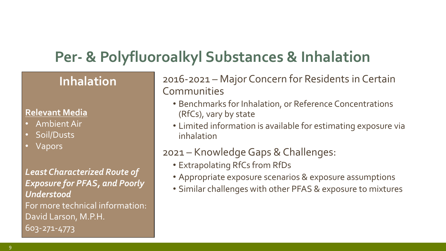### **Per- & Polyfluoroalkyl Substances & Inhalation**

### **Inhalation**

### **Relevant Media Relevant Media Relevant Media**

- Ambient Air
- Ambient All<br>• Soil/Dusts • Soil/Dusts
- Vapors

*Primary Route of Exposure for Least Characterized Route of*  Expos For more technical information: David Larson, M.P.H. *Lower Environmental*  David Larson, M.P.H. 603-271-4773 *Concentrations* 603-271-4773*Less Significant Route of Exposure for PFAS, and Poorly Understood*

2016-2021 – Major Concern for Residents in Certain **Communities** 

- Benchmarks for Inhalation, or Reference Concentrations (RfCs), vary by state
- Limited information is available for estimating exposure via inhalation

#### 2021 – Knowledge Gaps & Challenges:

- Extrapolating RfCs from RfDs
- Appropriate exposure scenarios & exposure assumptions
- Similar challenges with other PFAS & exposure to mixtures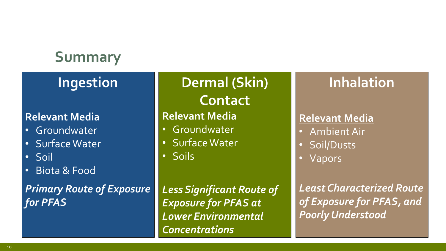## **Summary**

### **Ingestion**

#### **Relevant Media**

- **Groundwater**
- Surface Water
- Soil
- Biota & Food

*Primary Route of Exposure for PFAS*

### **Dermal (Skin) Contact**

### **Relevant Media**

- Groundwater
- Surface Water
- Soils

*Less Significant Route of Exposure for PFAS at Lower Environmental Concentrations*

### **Inhalation**

#### **Relevant Media**

- Ambient Air
- Soil/Dusts
- Vapors

*Least Characterized Route of Exposure for PFAS, and Poorly Understood*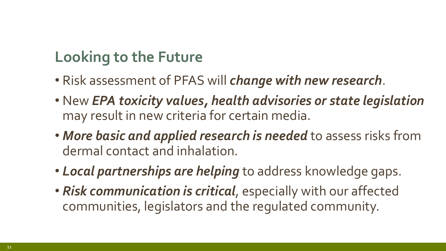### **Looking to the Future**

- Risk assessment of PFAS will *change with new research*.
- New *EPA toxicity values, health advisories or state legislation*  may result in new criteria for certain media.
- *More basic and applied research is needed* to assess risks from dermal contact and inhalation.
- *Local partnerships are helping* to address knowledge gaps.
- *Risk communication is critical*, especially with our affected communities, legislators and the regulated community.